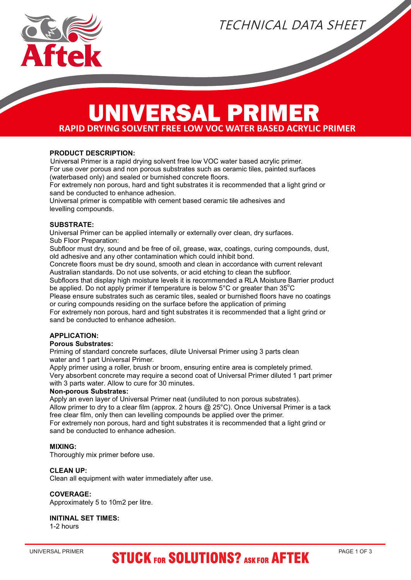

TECHNICAL DATA SHEET

### **RAPID DRYING SOLVENT FREE LOW VOC WATER BASED ACRYLIC PRIMER** UNIVERSAL PRIMER

#### **PRODUCT DESCRIPTION:**

Universal Primer is a rapid drying solvent free low VOC water based acrylic primer. For use over porous and non porous substrates such as ceramic tiles, painted surfaces (waterbased only) and sealed or burnished concrete floors.

For extremely non porous, hard and tight substrates it is recommended that a light grind or sand be conducted to enhance adhesion.

Universal primer is compatible with cement based ceramic tile adhesives and levelling compounds.

#### **SUBSTRATE:**

Universal Primer can be applied internally or externally over clean, dry surfaces. Sub Floor Preparation:

Subfloor must dry, sound and be free of oil, grease, wax, coatings, curing compounds, dust, old adhesive and any other contamination which could inhibit bond.

Concrete floors must be dry sound, smooth and clean in accordance with current relevant Australian standards. Do not use solvents, or acid etching to clean the subfloor.

Subfloors that display high moisture levels it is recommended a RLA Moisture Barrier product be applied. Do not apply primer if temperature is below  $5^{\circ}$ C or greater than  $35^{\circ}$ C

Please ensure substrates such as ceramic tiles, sealed or burnished floors have no coatings or curing compounds residing on the surface before the application of priming

For extremely non porous, hard and tight substrates it is recommended that a light grind or sand be conducted to enhance adhesion.

#### **APPLICATION:**

#### **Porous Substrates:**

Priming of standard concrete surfaces, dilute Universal Primer using 3 parts clean water and 1 part Universal Primer.

Apply primer using a roller, brush or broom, ensuring entire area is completely primed. Very absorbent concrete may require a second coat of Universal Primer diluted 1 part primer with 3 parts water. Allow to cure for 30 minutes.

#### **Non-porous Substrates:**

Apply an even layer of Universal Primer neat (undiluted to non porous substrates). Allow primer to dry to a clear film (approx. 2 hours @ 25°C). Once Universal Primer is a tack free clear film, only then can levelling compounds be applied over the primer. For extremely non porous, hard and tight substrates it is recommended that a light grind or sand be conducted to enhance adhesion.

#### **MIXING:**

Thoroughly mix primer before use.

#### **CLEAN UP:**

Clean all equipment with water immediately after use.

#### **COVERAGE:**

Approximately 5 to 10m2 per litre.

#### **INITINAL SET TIMES:**

1-2 hours

## UNIVERSAL PRIMER PAGE 1 OF 3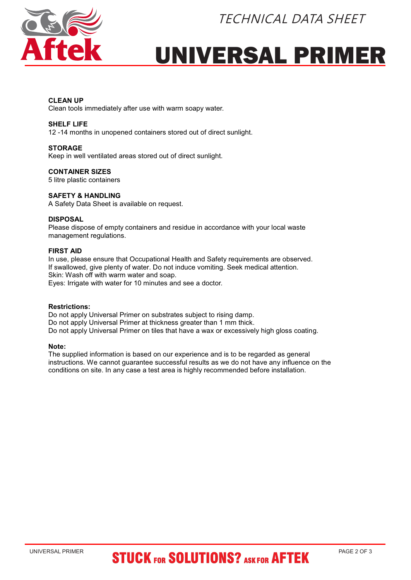



# UNIVERSAL PRIMER

#### **CLEAN UP**

Clean tools immediately after use with warm soapy water.

#### **SHELF LIFE**

12 -14 months in unopened containers stored out of direct sunlight.

#### **STORAGE**

Keep in well ventilated areas stored out of direct sunlight.

#### **CONTAINER SIZES**

5 litre plastic containers

#### **SAFETY & HANDLING**

A Safety Data Sheet is available on request.

#### **DISPOSAL**

Please dispose of empty containers and residue in accordance with your local waste management regulations.

#### **FIRST AID**

In use, please ensure that Occupational Health and Safety requirements are observed. If swallowed, give plenty of water. Do not induce vomiting. Seek medical attention. Skin: Wash off with warm water and soap. Eyes: Irrigate with water for 10 minutes and see a doctor.

#### **Restrictions:**

Do not apply Universal Primer on substrates subject to rising damp. Do not apply Universal Primer at thickness greater than 1 mm thick. Do not apply Universal Primer on tiles that have a wax or excessively high gloss coating.

#### **Note:**

The supplied information is based on our experience and is to be regarded as general instructions. We cannot guarantee successful results as we do not have any influence on the conditions on site. In any case a test area is highly recommended before installation.